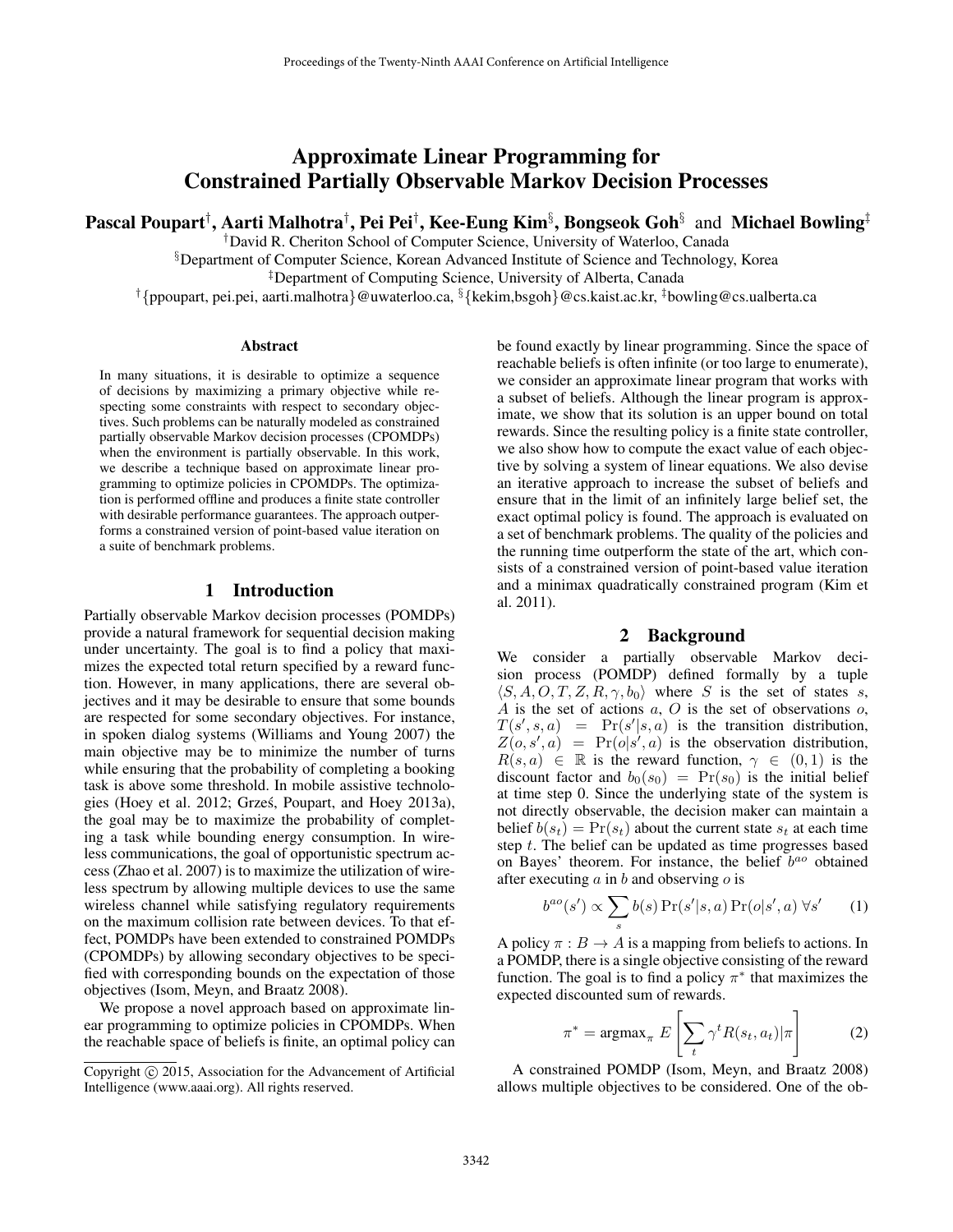# Approximate Linear Programming for Constrained Partially Observable Markov Decision Processes

Pascal Poupart†, Aarti Malhotra†, Pei Pei†, Kee-Eung Kim $\S$ , Bongseok Goh $\S$  and Michael Bowling‡

†David R. Cheriton School of Computer Science, University of Waterloo, Canada

§Department of Computer Science, Korean Advanced Institute of Science and Technology, Korea

‡Department of Computing Science, University of Alberta, Canada

†{ppoupart, pei.pei, aarti.malhotra}@uwaterloo.ca, §{kekim,bsgoh}@cs.kaist.ac.kr, ‡bowling@cs.ualberta.ca

#### Abstract

In many situations, it is desirable to optimize a sequence of decisions by maximizing a primary objective while respecting some constraints with respect to secondary objectives. Such problems can be naturally modeled as constrained partially observable Markov decision processes (CPOMDPs) when the environment is partially observable. In this work, we describe a technique based on approximate linear programming to optimize policies in CPOMDPs. The optimization is performed offline and produces a finite state controller with desirable performance guarantees. The approach outperforms a constrained version of point-based value iteration on a suite of benchmark problems.

### 1 Introduction

Partially observable Markov decision processes (POMDPs) provide a natural framework for sequential decision making under uncertainty. The goal is to find a policy that maximizes the expected total return specified by a reward function. However, in many applications, there are several objectives and it may be desirable to ensure that some bounds are respected for some secondary objectives. For instance, in spoken dialog systems (Williams and Young 2007) the main objective may be to minimize the number of turns while ensuring that the probability of completing a booking task is above some threshold. In mobile assistive technologies (Hoey et al. 2012; Grzes, Poupart, and Hoey 2013a), ´ the goal may be to maximize the probability of completing a task while bounding energy consumption. In wireless communications, the goal of opportunistic spectrum access (Zhao et al. 2007) is to maximize the utilization of wireless spectrum by allowing multiple devices to use the same wireless channel while satisfying regulatory requirements on the maximum collision rate between devices. To that effect, POMDPs have been extended to constrained POMDPs (CPOMDPs) by allowing secondary objectives to be specified with corresponding bounds on the expectation of those objectives (Isom, Meyn, and Braatz 2008).

We propose a novel approach based on approximate linear programming to optimize policies in CPOMDPs. When the reachable space of beliefs is finite, an optimal policy can be found exactly by linear programming. Since the space of reachable beliefs is often infinite (or too large to enumerate), we consider an approximate linear program that works with a subset of beliefs. Although the linear program is approximate, we show that its solution is an upper bound on total rewards. Since the resulting policy is a finite state controller, we also show how to compute the exact value of each objective by solving a system of linear equations. We also devise an iterative approach to increase the subset of beliefs and ensure that in the limit of an infinitely large belief set, the exact optimal policy is found. The approach is evaluated on a set of benchmark problems. The quality of the policies and the running time outperform the state of the art, which consists of a constrained version of point-based value iteration and a minimax quadratically constrained program (Kim et al. 2011).

#### 2 Background

We consider a partially observable Markov decision process (POMDP) defined formally by a tuple  $\langle S, A, O, T, Z, R, \gamma, b_0 \rangle$  where S is the set of states s, A is the set of actions  $a, O$  is the set of observations  $o,$  $T(s', s, a) = Pr(s'|s, a)$  is the transition distribution,  $Z(\rho, s', a)$  = Pr( $\rho | s', a$ ) is the observation distribution,  $R(s, a) \in \mathbb{R}$  is the reward function,  $\gamma \in (0, 1)$  is the discount factor and  $b_0(s_0) = Pr(s_0)$  is the initial belief at time step 0. Since the underlying state of the system is not directly observable, the decision maker can maintain a belief  $b(s_t) = Pr(s_t)$  about the current state  $s_t$  at each time step t. The belief can be updated as time progresses based on Bayes' theorem. For instance, the belief  $b^{ao}$  obtained after executing  $a$  in  $b$  and observing  $o$  is

$$
b^{ao}(s') \propto \sum_{s} b(s) \Pr(s'|s, a) \Pr(o|s', a) \forall s'
$$
 (1)

A policy  $\pi : B \to A$  is a mapping from beliefs to actions. In a POMDP, there is a single objective consisting of the reward function. The goal is to find a policy  $\pi^*$  that maximizes the expected discounted sum of rewards.

$$
\pi^* = \operatorname{argmax}_{\pi} E\left[\sum_t \gamma^t R(s_t, a_t) | \pi\right]
$$
 (2)

A constrained POMDP (Isom, Meyn, and Braatz 2008) allows multiple objectives to be considered. One of the ob-

Copyright (c) 2015, Association for the Advancement of Artificial Intelligence (www.aaai.org). All rights reserved.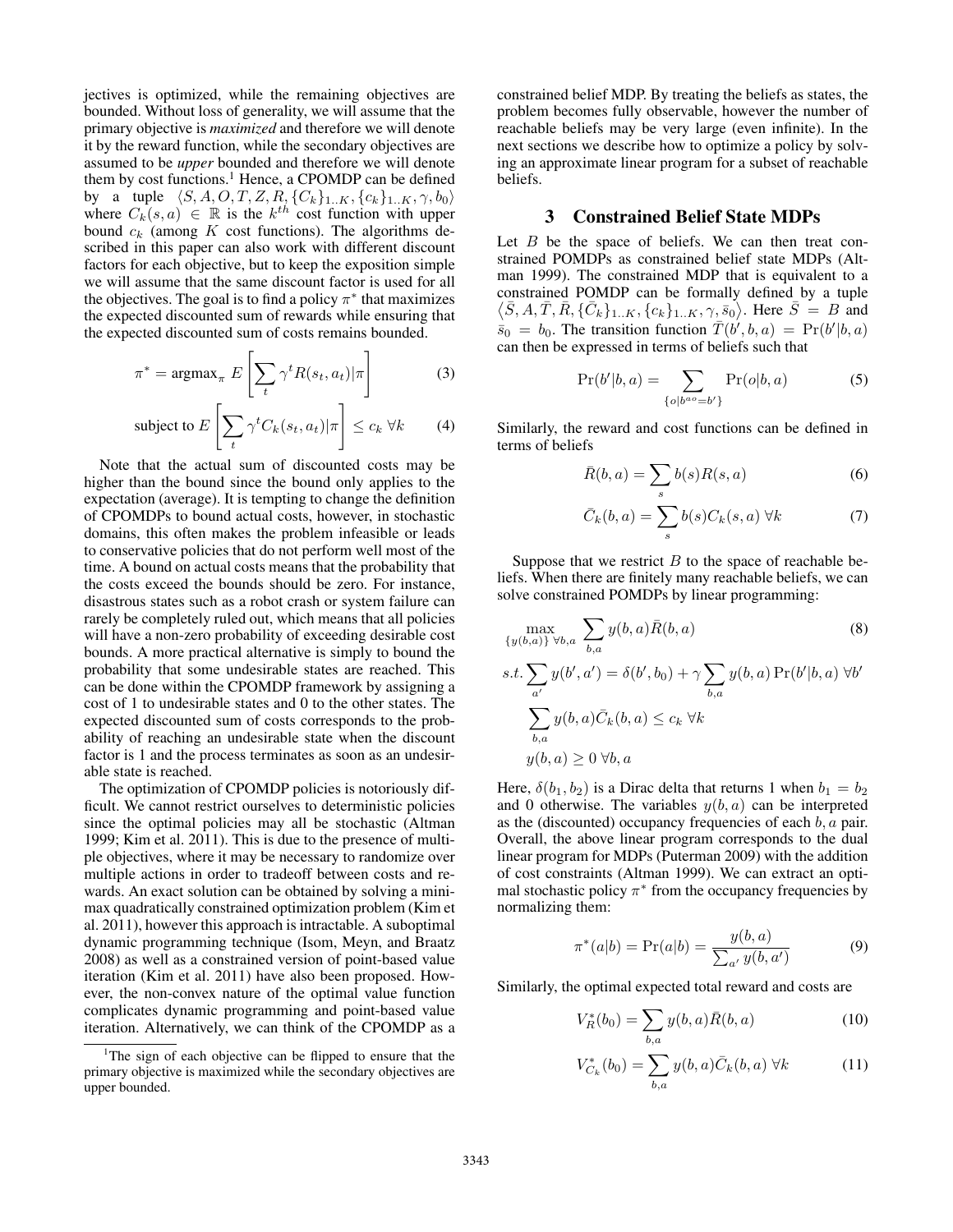jectives is optimized, while the remaining objectives are bounded. Without loss of generality, we will assume that the primary objective is *maximized* and therefore we will denote it by the reward function, while the secondary objectives are assumed to be *upper* bounded and therefore we will denote them by cost functions.<sup>1</sup> Hence, a CPOMDP can be defined by a tuple  $\langle S, A, O, T, Z, R, \{C_k\}_{1..K}, \{c_k\}_{1..K}, \gamma, b_0\rangle$ where  $C_k(s, a) \in \mathbb{R}$  is the  $k^{th}$  cost function with upper bound  $c_k$  (among  $K$  cost functions). The algorithms described in this paper can also work with different discount factors for each objective, but to keep the exposition simple we will assume that the same discount factor is used for all the objectives. The goal is to find a policy  $\pi^*$  that maximizes the expected discounted sum of rewards while ensuring that the expected discounted sum of costs remains bounded.

$$
\pi^* = \operatorname{argmax}_{\pi} E\left[\sum_t \gamma^t R(s_t, a_t) | \pi\right]
$$
 (3)

subject to 
$$
E\left[\sum_{t} \gamma^{t} C_{k}(s_{t}, a_{t}) | \pi\right] \leq c_{k} \ \forall k
$$
 (4)

Note that the actual sum of discounted costs may be higher than the bound since the bound only applies to the expectation (average). It is tempting to change the definition of CPOMDPs to bound actual costs, however, in stochastic domains, this often makes the problem infeasible or leads to conservative policies that do not perform well most of the time. A bound on actual costs means that the probability that the costs exceed the bounds should be zero. For instance, disastrous states such as a robot crash or system failure can rarely be completely ruled out, which means that all policies will have a non-zero probability of exceeding desirable cost bounds. A more practical alternative is simply to bound the probability that some undesirable states are reached. This can be done within the CPOMDP framework by assigning a cost of 1 to undesirable states and 0 to the other states. The expected discounted sum of costs corresponds to the probability of reaching an undesirable state when the discount factor is 1 and the process terminates as soon as an undesirable state is reached.

The optimization of CPOMDP policies is notoriously difficult. We cannot restrict ourselves to deterministic policies since the optimal policies may all be stochastic (Altman 1999; Kim et al. 2011). This is due to the presence of multiple objectives, where it may be necessary to randomize over multiple actions in order to tradeoff between costs and rewards. An exact solution can be obtained by solving a minimax quadratically constrained optimization problem (Kim et al. 2011), however this approach is intractable. A suboptimal dynamic programming technique (Isom, Meyn, and Braatz 2008) as well as a constrained version of point-based value iteration (Kim et al. 2011) have also been proposed. However, the non-convex nature of the optimal value function complicates dynamic programming and point-based value iteration. Alternatively, we can think of the CPOMDP as a

constrained belief MDP. By treating the beliefs as states, the problem becomes fully observable, however the number of reachable beliefs may be very large (even infinite). In the next sections we describe how to optimize a policy by solving an approximate linear program for a subset of reachable beliefs.

### 3 Constrained Belief State MDPs

Let  $B$  be the space of beliefs. We can then treat constrained POMDPs as constrained belief state MDPs (Altman 1999). The constrained MDP that is equivalent to a constrained POMDP can be formally defined by a tuple  $\langle \bar{S}, A, \bar{T}, \bar{R}, \{\bar{C}_k\}_{1..K}, \{c_k\}_{1..K}, \gamma, \bar{s_0} \rangle$ . Here  $\bar{S} = B$  and  $\overline{s}_0 = b_0$ . The transition function  $\overline{T}(b', b, a) = Pr(b'|b, a)$ can then be expressed in terms of beliefs such that

$$
Pr(b'|b,a) = \sum_{\{o|b^{ao} = b'\}} Pr(o|b,a)
$$
 (5)

Similarly, the reward and cost functions can be defined in terms of beliefs

$$
\bar{R}(b,a) = \sum_{s} b(s)R(s,a)
$$
 (6)

$$
\bar{C}_k(b,a) = \sum_s b(s)C_k(s,a) \,\forall k \tag{7}
$$

Suppose that we restrict  $B$  to the space of reachable beliefs. When there are finitely many reachable beliefs, we can solve constrained POMDPs by linear programming:

$$
\max_{\{y(b,a)\}\forall b,a} \sum_{b,a} y(b,a)\bar{R}(b,a)
$$
(8)  
s.t. 
$$
\sum_{a'} y(b',a') = \delta(b',b_0) + \gamma \sum_{b,a} y(b,a) \Pr(b'|b,a) \forall b'
$$

$$
\sum_{b,a} y(b,a)\bar{C}_k(b,a) \le c_k \forall k
$$

$$
y(b,a) \ge 0 \forall b,a
$$

Here,  $\delta(b_1, b_2)$  is a Dirac delta that returns 1 when  $b_1 = b_2$ and 0 otherwise. The variables  $y(b, a)$  can be interpreted as the (discounted) occupancy frequencies of each  $b$ ,  $a$  pair. Overall, the above linear program corresponds to the dual linear program for MDPs (Puterman 2009) with the addition of cost constraints (Altman 1999). We can extract an optimal stochastic policy  $\pi^*$  from the occupancy frequencies by normalizing them:

$$
\pi^*(a|b) = \Pr(a|b) = \frac{y(b,a)}{\sum_{a'} y(b,a')}
$$
 (9)

Similarly, the optimal expected total reward and costs are

$$
V_R^*(b_0) = \sum_{b,a} y(b,a)\bar{R}(b,a)
$$
 (10)

$$
V_{C_k}^*(b_0) = \sum_{b,a} y(b,a) \bar{C}_k(b,a) \,\forall k \tag{11}
$$

<sup>&</sup>lt;sup>1</sup>The sign of each objective can be flipped to ensure that the primary objective is maximized while the secondary objectives are upper bounded.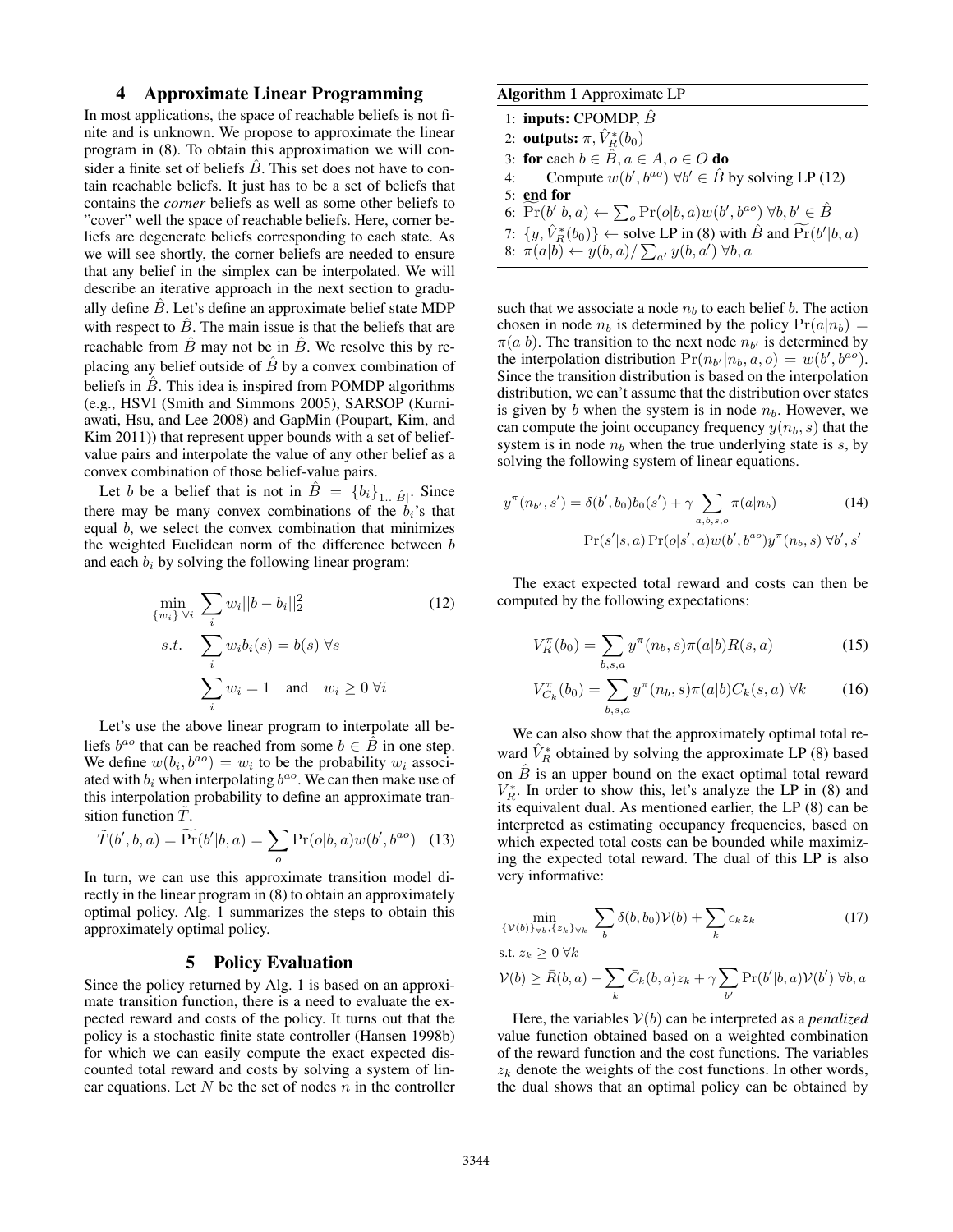# 4 Approximate Linear Programming

In most applications, the space of reachable beliefs is not finite and is unknown. We propose to approximate the linear program in (8). To obtain this approximation we will consider a finite set of beliefs  $\hat{B}$ . This set does not have to contain reachable beliefs. It just has to be a set of beliefs that contains the *corner* beliefs as well as some other beliefs to "cover" well the space of reachable beliefs. Here, corner beliefs are degenerate beliefs corresponding to each state. As we will see shortly, the corner beliefs are needed to ensure that any belief in the simplex can be interpolated. We will describe an iterative approach in the next section to gradually define  $\hat{B}$ . Let's define an approximate belief state MDP with respect to  $\hat{B}$ . The main issue is that the beliefs that are reachable from  $\ddot{B}$  may not be in  $\ddot{B}$ . We resolve this by replacing any belief outside of  $\hat{B}$  by a convex combination of beliefs in  $\hat{B}$ . This idea is inspired from POMDP algorithms (e.g., HSVI (Smith and Simmons 2005), SARSOP (Kurniawati, Hsu, and Lee 2008) and GapMin (Poupart, Kim, and Kim 2011)) that represent upper bounds with a set of beliefvalue pairs and interpolate the value of any other belief as a convex combination of those belief-value pairs.

Let b be a belief that is not in  $\hat{B} = \{b_i\}_{1, \dots, |\hat{B}|}$ . Since there may be many convex combinations of the  $b_i$ 's that equal b, we select the convex combination that minimizes the weighted Euclidean norm of the difference between b and each  $b_i$  by solving the following linear program:

$$
\min_{\{w_i\}\ \forall i} \ \sum_{i} w_i ||b - b_i||_2^2
$$
\n
$$
s.t. \ \sum_{i} w_i b_i(s) = b(s) \ \forall s
$$
\n
$$
\sum_{i} w_i = 1 \quad \text{and} \quad w_i \ge 0 \ \forall i
$$
\n(12)

Let's use the above linear program to interpolate all beliefs  $b^{ao}$  that can be reached from some  $b \in \hat{B}$  in one step. We define  $w(b_i, b^{ao}) = w_i$  to be the probability  $w_i$  associated with  $b_i$  when interpolating  $b^{ao}$ . We can then make use of this interpolation probability to define an approximate transition function  $T$ .

$$
\tilde{T}(b',b,a) = \widetilde{\Pr}(b'|b,a) = \sum_{o} \Pr(o|b,a)w(b',b^{ao}) \quad (13)
$$

In turn, we can use this approximate transition model directly in the linear program in (8) to obtain an approximately optimal policy. Alg. 1 summarizes the steps to obtain this approximately optimal policy.

### 5 Policy Evaluation

Since the policy returned by Alg. 1 is based on an approximate transition function, there is a need to evaluate the expected reward and costs of the policy. It turns out that the policy is a stochastic finite state controller (Hansen 1998b) for which we can easily compute the exact expected discounted total reward and costs by solving a system of linear equations. Let  $N$  be the set of nodes  $n$  in the controller

# Algorithm 1 Approximate LP

# 1: **inputs:** CPOMDP,  $\hat{B}$

- 2: **outputs:**  $\pi$ ,  $\hat{V}_R^*(b_0)$
- 3: for each  $b \in \hat{B}$ ,  $a \in A$ ,  $o \in O$  do
- 4: Compute  $w(b', b^{ao}) \forall b' \in \hat{B}$  by solving LP (12)
- 5: end for
- 6:  $\widetilde{\Pr}(b'|b,a) \leftarrow \sum_o \Pr(o|b,a) w(b',b^{ao}) \ \forall b,b' \in \widehat{B}$
- 7:  $\{y, \hat{V}_{R}^{*}(b_{0})\} \leftarrow$  solve LP in (8) with  $\hat{B}$  and  $\widetilde{\Pr}(b'|b, a)$

8: 
$$
\pi(a|b) \leftarrow y(b,a) / \sum_{a'} y(b,a') \forall b,a
$$

such that we associate a node  $n_b$  to each belief b. The action chosen in node  $n_b$  is determined by the policy  $Pr(a|n_b)$  =  $\pi(a|b)$ . The transition to the next node  $n_{b'}$  is determined by the interpolation distribution  $Pr(n_{b'}|n_b, a, o) = w(b', b^{ao}).$ Since the transition distribution is based on the interpolation distribution, we can't assume that the distribution over states is given by b when the system is in node  $n_b$ . However, we can compute the joint occupancy frequency  $y(n_b, s)$  that the system is in node  $n_b$  when the true underlying state is  $s$ , by solving the following system of linear equations.

$$
y^{\pi}(n_{b'}, s') = \delta(b', b_0)b_0(s') + \gamma \sum_{a, b, s, o} \pi(a|n_b)
$$
(14)  
Pr(s'|s, a) Pr(o|s', a)w(b', b^{ao})y^{\pi}(n\_b, s) \forall b', s'

The exact expected total reward and costs can then be computed by the following expectations:

$$
V_R^{\pi}(b_0) = \sum_{b,s,a} y^{\pi}(n_b, s)\pi(a|b)R(s,a)
$$
 (15)

$$
V_{C_k}^{\pi}(b_0) = \sum_{b,s,a} y^{\pi}(n_b, s)\pi(a|b)C_k(s,a) \,\forall k \tag{16}
$$

We can also show that the approximately optimal total reward  $\hat{V}_R^*$  obtained by solving the approximate LP (8) based on  $\hat{B}$  is an upper bound on the exact optimal total reward  $V_R^*$ . In order to show this, let's analyze the LP in (8) and its equivalent dual. As mentioned earlier, the LP (8) can be interpreted as estimating occupancy frequencies, based on which expected total costs can be bounded while maximizing the expected total reward. The dual of this LP is also very informative:

$$
\min_{\{\mathcal{V}(b)\}_{\forall b},\{z_k\}_{\forall k}} \sum_{b} \delta(b, b_0) \mathcal{V}(b) + \sum_{k} c_k z_k \tag{17}
$$

s.t. 
$$
z_k \geq 0 \ \forall k
$$

$$
\mathcal{V}(b) \ge \bar{R}(b, a) - \sum_{k} \bar{C}_{k}(b, a) z_{k} + \gamma \sum_{b'} \Pr(b'|b, a) \mathcal{V}(b') \,\forall b, a
$$

Here, the variables  $V(b)$  can be interpreted as a *penalized* value function obtained based on a weighted combination of the reward function and the cost functions. The variables  $z_k$  denote the weights of the cost functions. In other words, the dual shows that an optimal policy can be obtained by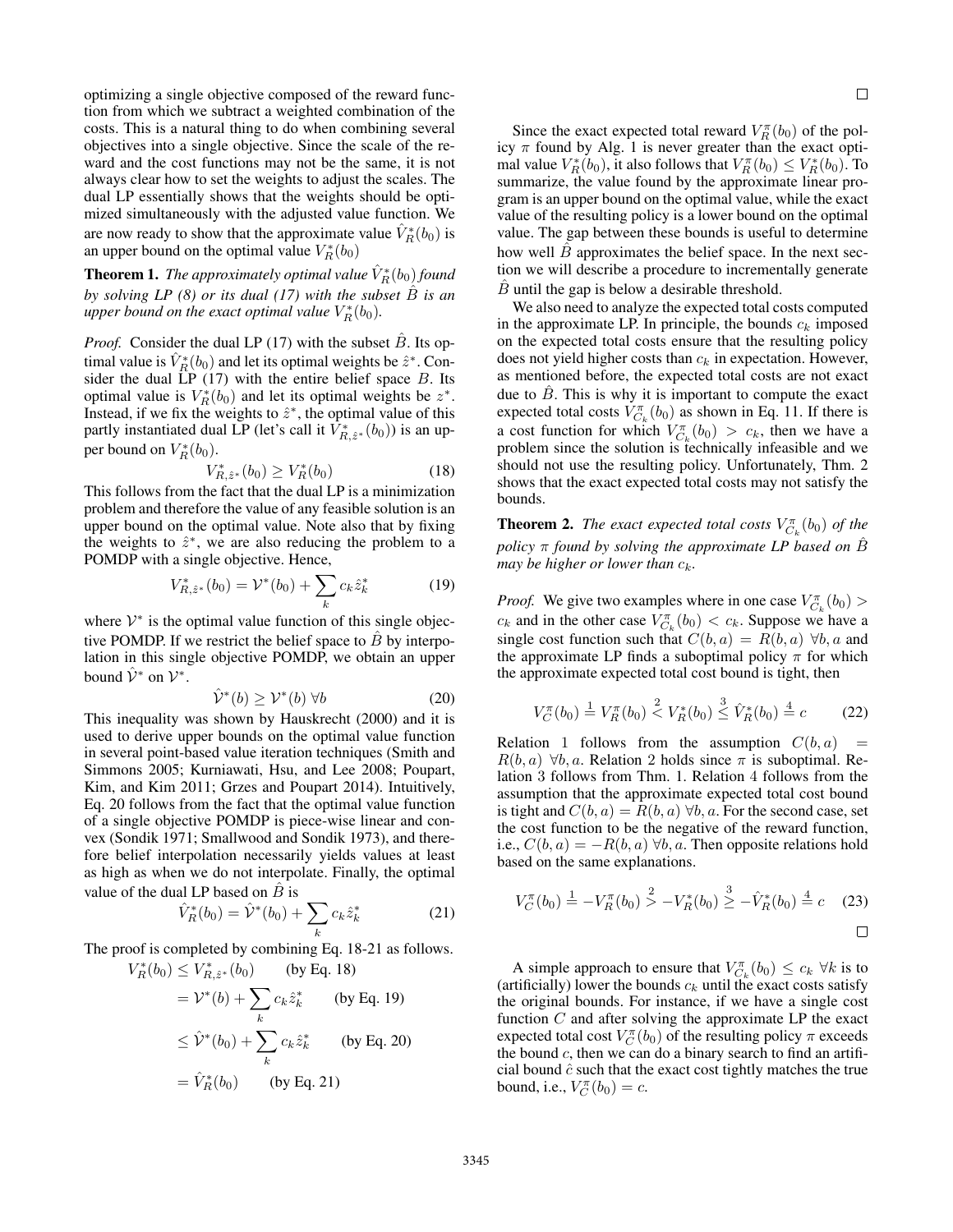optimizing a single objective composed of the reward function from which we subtract a weighted combination of the costs. This is a natural thing to do when combining several objectives into a single objective. Since the scale of the reward and the cost functions may not be the same, it is not always clear how to set the weights to adjust the scales. The dual LP essentially shows that the weights should be optimized simultaneously with the adjusted value function. We are now ready to show that the approximate value  $\hat{V}_R^*(b_0)$  is an upper bound on the optimal value  $V_R^*(b_0)$ 

**Theorem 1.** The approximately optimal value  $\hat{V}_R^*(b_0)$  found *by solving LP (8) or its dual (17) with the subset*  $\hat{B}$  *is an* upper bound on the exact optimal value  $V_R^*(b_0)$ .

*Proof.* Consider the dual LP (17) with the subset  $\ddot{B}$ . Its optimal value is  $\hat{V}_R^*(b_0)$  and let its optimal weights be  $\hat{z}^*$ . Consider the dual  $LP(17)$  with the entire belief space  $B$ . Its optimal value is  $V_R^*(b_0)$  and let its optimal weights be  $z^*$ . Instead, if we fix the weights to  $\hat{z}^*$ , the optimal value of this partly instantiated dual LP (let's call it  $\hat{V}^*_{R,\hat{z}^*}(b_0)$ ) is an upper bound on  $V_R^*(b_0)$ .

$$
V_{R,\hat{z}^*}^*(b_0) \ge V_R^*(b_0) \tag{18}
$$

This follows from the fact that the dual LP is a minimization problem and therefore the value of any feasible solution is an upper bound on the optimal value. Note also that by fixing the weights to  $\hat{z}^*$ , we are also reducing the problem to a POMDP with a single objective. Hence,

$$
V_{R,\hat{z}^*}^*(b_0) = \mathcal{V}^*(b_0) + \sum_k c_k \hat{z}_k^*
$$
 (19)

where  $V^*$  is the optimal value function of this single objective POMDP. If we restrict the belief space to  $\hat{B}$  by interpolation in this single objective POMDP, we obtain an upper bound  $\hat{\mathcal{V}}^*$  on  $\mathcal{V}^*$ .

$$
\hat{\mathcal{V}}^*(b) \ge \mathcal{V}^*(b) \,\forall b \tag{20}
$$

This inequality was shown by Hauskrecht (2000) and it is used to derive upper bounds on the optimal value function in several point-based value iteration techniques (Smith and Simmons 2005; Kurniawati, Hsu, and Lee 2008; Poupart, Kim, and Kim 2011; Grzes and Poupart 2014). Intuitively, Eq. 20 follows from the fact that the optimal value function of a single objective POMDP is piece-wise linear and convex (Sondik 1971; Smallwood and Sondik 1973), and therefore belief interpolation necessarily yields values at least as high as when we do not interpolate. Finally, the optimal value of the dual LP based on  $\hat{B}$  is

$$
\hat{V}_R^*(b_0) = \hat{\mathcal{V}}^*(b_0) + \sum_k c_k \hat{z}_k^*
$$
\n(21)

The proof is completed by combining Eq. 18-21 as follows.

 $V_R^*(b_0) \leq V_{R,\hat{z}^*}^*(b_0)$  (by Eq. 18)

$$
= \mathcal{V}^*(b) + \sum_k c_k \hat{z}_k^*
$$
 (by Eq. 19)  
\n
$$
\leq \hat{\mathcal{V}}^*(b_0) + \sum_k c_k \hat{z}_k^*
$$
 (by Eq. 20)  
\n
$$
= \hat{V}_R^*(b_0)
$$
 (by Eq. 21)

Since the exact expected total reward  $V_R^{\pi}(b_0)$  of the policy  $\pi$  found by Alg. 1 is never greater than the exact optimal value  $V_R^*(b_0)$ , it also follows that  $V_R^{\pi}(b_0) \leq V_R^*(b_0)$ . To summarize, the value found by the approximate linear program is an upper bound on the optimal value, while the exact value of the resulting policy is a lower bound on the optimal value. The gap between these bounds is useful to determine how well  $B$  approximates the belief space. In the next section we will describe a procedure to incrementally generate  $B$  until the gap is below a desirable threshold.

We also need to analyze the expected total costs computed in the approximate LP. In principle, the bounds  $c_k$  imposed on the expected total costs ensure that the resulting policy does not yield higher costs than  $c_k$  in expectation. However, as mentioned before, the expected total costs are not exact due to  $\ddot{B}$ . This is why it is important to compute the exact expected total costs  $V_{C_k}^{\pi}(b_0)$  as shown in Eq. 11. If there is a cost function for which  $V_{C_k}^{\pi}(b_0) > c_k$ , then we have a problem since the solution is technically infeasible and we should not use the resulting policy. Unfortunately, Thm. 2 shows that the exact expected total costs may not satisfy the bounds.

**Theorem 2.** The exact expected total costs  $V_{C_k}^{\pi}(b_0)$  of the *policy*  $\pi$  *found by solving the approximate LP based on*  $\hat{B}$ *may be higher or lower than*  $c_k$ *.* 

*Proof.* We give two examples where in one case  $V_{C_k}^{\pi}(b_0)$  >  $c_k$  and in the other case  $V_{C_k}^{\pi}(b_0) < c_k$ . Suppose we have a single cost function such that  $C(b, a) = R(b, a) \forall b, a$  and the approximate LP finds a suboptimal policy  $\pi$  for which the approximate expected total cost bound is tight, then

$$
V_C^{\pi}(b_0) \stackrel{1}{=} V_R^{\pi}(b_0) \stackrel{2}{\leq} V_R^*(b_0) \stackrel{3}{\leq} \hat{V}_R^*(b_0) \stackrel{4}{=} c \tag{22}
$$

Relation 1 follows from the assumption  $C(b, a)$  $R(b, a) \forall b, a$ . Relation 2 holds since  $\pi$  is suboptimal. Relation 3 follows from Thm. 1. Relation 4 follows from the assumption that the approximate expected total cost bound is tight and  $C(b, a) = R(b, a) \forall b, a$ . For the second case, set the cost function to be the negative of the reward function, i.e.,  $C(b, a) = -R(b, a) \forall b, a$ . Then opposite relations hold based on the same explanations.

$$
V_C^{\pi}(b_0) \stackrel{1}{=} -V_R^{\pi}(b_0) \stackrel{2}{>} -V_R^*(b_0) \stackrel{3}{\geq} -\hat{V}_R^*(b_0) \stackrel{4}{=} c \quad (23)
$$

A simple approach to ensure that  $V_{C_k}^{\pi}(b_0) \leq c_k \ \forall k$  is to (artificially) lower the bounds  $c_k$  until the exact costs satisfy the original bounds. For instance, if we have a single cost function  $C$  and after solving the approximate LP the exact expected total cost  $V_C^{\pi}(b_0)$  of the resulting policy  $\pi$  exceeds the bound  $c$ , then we can do a binary search to find an artificial bound  $\hat{c}$  such that the exact cost tightly matches the true bound, i.e.,  $V_C^{\pi}(b_0) = c$ .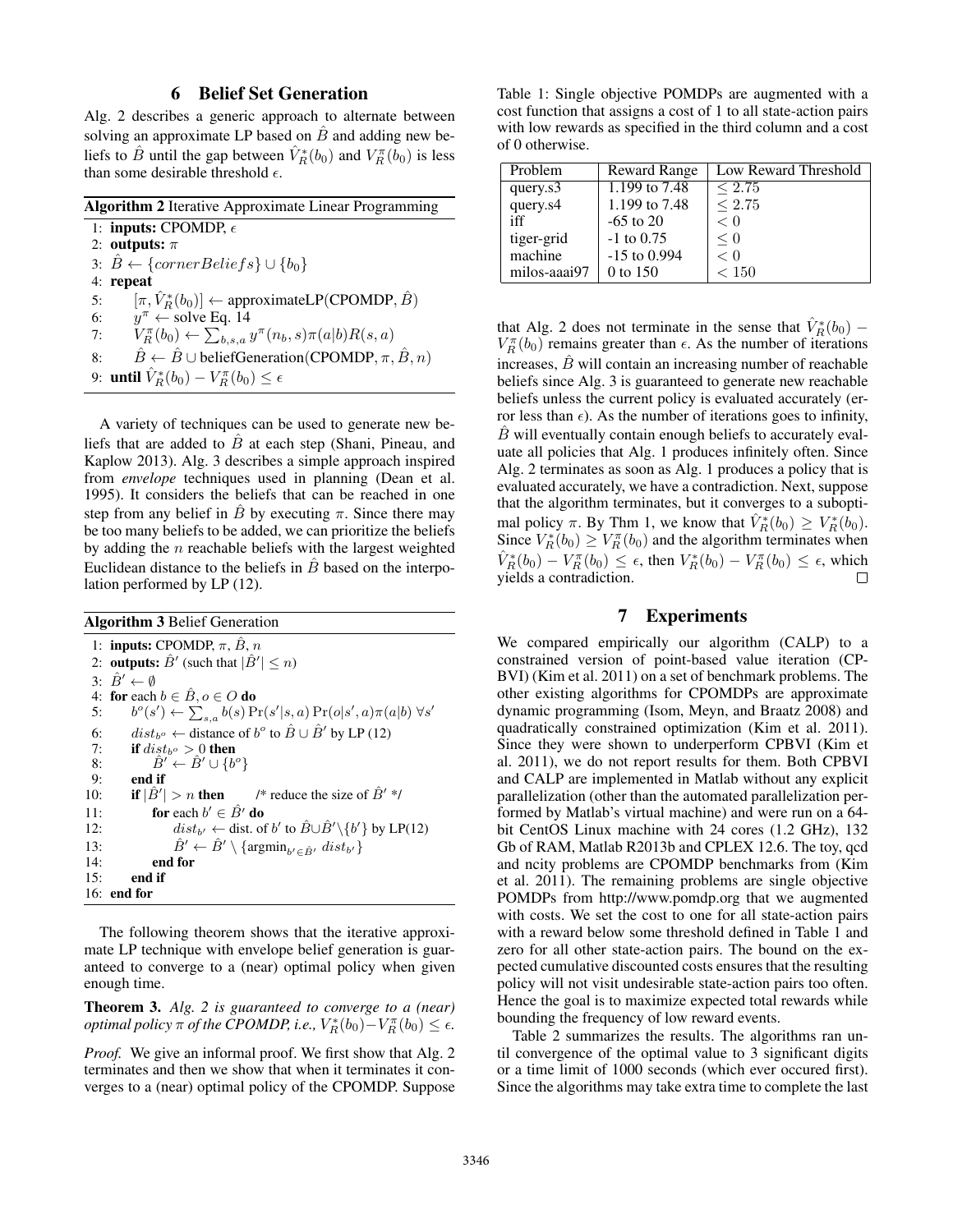### 6 Belief Set Generation

Alg. 2 describes a generic approach to alternate between solving an approximate LP based on  $\hat{B}$  and adding new beliefs to  $\hat{B}$  until the gap between  $\hat{V}_R^*(b_0)$  and  $V_R^{\pi}(b_0)$  is less than some desirable threshold  $\epsilon$ .

A variety of techniques can be used to generate new beliefs that are added to  $\hat{B}$  at each step (Shani, Pineau, and Kaplow 2013). Alg. 3 describes a simple approach inspired from *envelope* techniques used in planning (Dean et al. 1995). It considers the beliefs that can be reached in one step from any belief in  $\hat{B}$  by executing  $\pi$ . Since there may be too many beliefs to be added, we can prioritize the beliefs by adding the  $n$  reachable beliefs with the largest weighted Euclidean distance to the beliefs in  $\overline{B}$  based on the interpolation performed by LP (12).

|  |  |  | <b>Algorithm 3 Belief Generation</b> |
|--|--|--|--------------------------------------|
|--|--|--|--------------------------------------|

1: inputs: CPOMDP,  $\pi$ ,  $\hat{B}$ ,  $n$ 2: **outputs:**  $\hat{B}'$  (such that  $|\hat{B}'| \leq n$ ) 3:  $\hat{B}' \leftarrow \emptyset$ 4: for each  $b \in \hat{B}$ ,  $o \in O$  do  $5:$  $\mathcal{O}(s') \leftarrow \sum_{s,a} b(s) \Pr(s'|s,a) \Pr(o|s',a) \pi(a|b) \ \forall s'$ 6: *dist<sub>b</sub>* ← distance of  $b^{\circ}$  to  $\hat{B} \cup \hat{B}'$  by LP (12) 7: if  $dist_{b} \circ > 0$  then 8:  $\hat{B}' \leftarrow \hat{B}' \cup \{b^o\}$ 9: end if 10: if  $|\hat{B}'| > n$  then  $| > n$  then /\* reduce the size of  $\hat{B}'$  \*/ 11: for each  $b' \in \hat{B}'$  do 12:  $dist_{b'} \leftarrow dist.$  of b' to  $\hat{B} \cup \hat{B}' \setminus \{b'\}$  by LP(12) 13:  $\hat{B}' \leftarrow \hat{B}' \setminus \{\operatorname{argmin}_{b' \in \hat{B}'} dist_{b'}\}$ 14: end for 15: end if 16: end for

The following theorem shows that the iterative approximate LP technique with envelope belief generation is guaranteed to converge to a (near) optimal policy when given enough time.

Theorem 3. *Alg. 2 is guaranteed to converge to a (near) optimal policy*  $\pi$  *of the CPOMDP, i.e.,*  $V_R^*(b_0) - V_R^{\pi}(b_0) \leq \epsilon$ .

*Proof.* We give an informal proof. We first show that Alg. 2 terminates and then we show that when it terminates it converges to a (near) optimal policy of the CPOMDP. Suppose

Table 1: Single objective POMDPs are augmented with a cost function that assigns a cost of 1 to all state-action pairs with low rewards as specified in the third column and a cost of 0 otherwise.

| Problem      | Reward Range   | Low Reward Threshold |
|--------------|----------------|----------------------|
| query.s3     | 1.199 to 7.48  | ${}_{\leq 2.75}$     |
| query.s4     | 1.199 to 7.48  | < 2.75               |
| iff          | $-65$ to 20    | < 0                  |
| tiger-grid   | $-1$ to 0.75   | $\leq 0$             |
| machine      | $-15$ to 0.994 | $\lt 0$              |
| milos-aaai97 | 0 to 150       | < 150                |

that Alg. 2 does not terminate in the sense that  $\hat{V}_R^*(b_0)$  –  $V_R^{\pi}(b_0)$  remains greater than  $\epsilon$ . As the number of iterations increases,  $\ddot{B}$  will contain an increasing number of reachable beliefs since Alg. 3 is guaranteed to generate new reachable beliefs unless the current policy is evaluated accurately (error less than  $\epsilon$ ). As the number of iterations goes to infinity,  $\hat{B}$  will eventually contain enough beliefs to accurately evaluate all policies that Alg. 1 produces infinitely often. Since Alg. 2 terminates as soon as Alg. 1 produces a policy that is evaluated accurately, we have a contradiction. Next, suppose that the algorithm terminates, but it converges to a suboptimal policy  $\pi$ . By Thm 1, we know that  $\hat{V}_R^*(b_0) \geq V_R^*(b_0)$ . Since  $V_R^*(b_0) \ge V_R^{\pi}(b_0)$  and the algorithm terminates when  $\hat{V}_R^*(b_0) - V_R^{\pi}(b_0) \leq \epsilon$ , then  $V_R^*(b_0) - V_R^{\pi}(b_0) \leq \epsilon$ , which yields a contradiction.

### 7 Experiments

We compared empirically our algorithm (CALP) to a constrained version of point-based value iteration (CP-BVI) (Kim et al. 2011) on a set of benchmark problems. The other existing algorithms for CPOMDPs are approximate dynamic programming (Isom, Meyn, and Braatz 2008) and quadratically constrained optimization (Kim et al. 2011). Since they were shown to underperform CPBVI (Kim et al. 2011), we do not report results for them. Both CPBVI and CALP are implemented in Matlab without any explicit parallelization (other than the automated parallelization performed by Matlab's virtual machine) and were run on a 64 bit CentOS Linux machine with 24 cores (1.2 GHz), 132 Gb of RAM, Matlab R2013b and CPLEX 12.6. The toy, qcd and ncity problems are CPOMDP benchmarks from (Kim et al. 2011). The remaining problems are single objective POMDPs from http://www.pomdp.org that we augmented with costs. We set the cost to one for all state-action pairs with a reward below some threshold defined in Table 1 and zero for all other state-action pairs. The bound on the expected cumulative discounted costs ensures that the resulting policy will not visit undesirable state-action pairs too often. Hence the goal is to maximize expected total rewards while bounding the frequency of low reward events.

Table 2 summarizes the results. The algorithms ran until convergence of the optimal value to 3 significant digits or a time limit of 1000 seconds (which ever occured first). Since the algorithms may take extra time to complete the last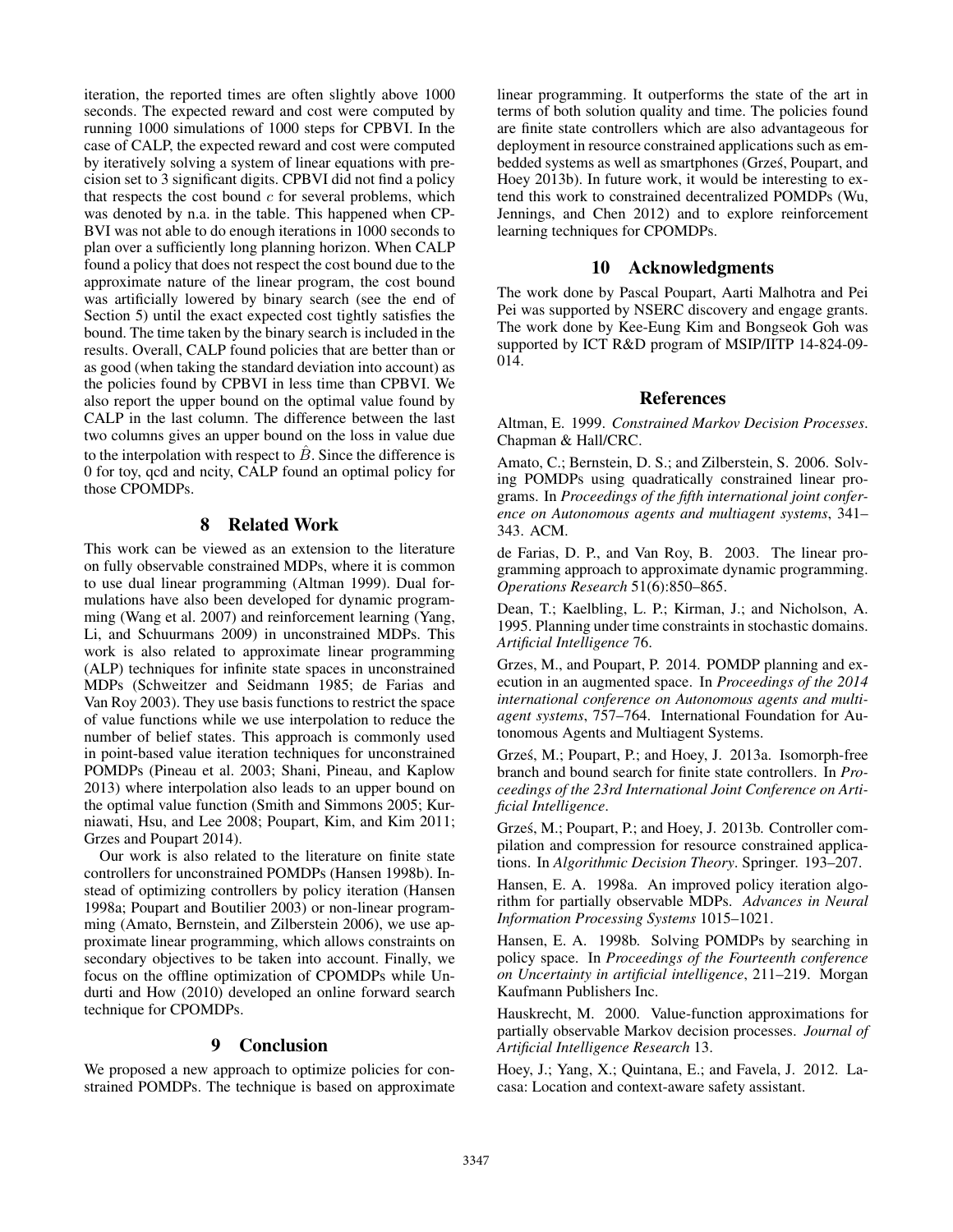iteration, the reported times are often slightly above 1000 seconds. The expected reward and cost were computed by running 1000 simulations of 1000 steps for CPBVI. In the case of CALP, the expected reward and cost were computed by iteratively solving a system of linear equations with precision set to 3 significant digits. CPBVI did not find a policy that respects the cost bound  $c$  for several problems, which was denoted by n.a. in the table. This happened when CP-BVI was not able to do enough iterations in 1000 seconds to plan over a sufficiently long planning horizon. When CALP found a policy that does not respect the cost bound due to the approximate nature of the linear program, the cost bound was artificially lowered by binary search (see the end of Section 5) until the exact expected cost tightly satisfies the bound. The time taken by the binary search is included in the results. Overall, CALP found policies that are better than or as good (when taking the standard deviation into account) as the policies found by CPBVI in less time than CPBVI. We also report the upper bound on the optimal value found by CALP in the last column. The difference between the last two columns gives an upper bound on the loss in value due to the interpolation with respect to  $\hat{B}$ . Since the difference is 0 for toy, qcd and ncity, CALP found an optimal policy for those CPOMDPs.

# 8 Related Work

This work can be viewed as an extension to the literature on fully observable constrained MDPs, where it is common to use dual linear programming (Altman 1999). Dual formulations have also been developed for dynamic programming (Wang et al. 2007) and reinforcement learning (Yang, Li, and Schuurmans 2009) in unconstrained MDPs. This work is also related to approximate linear programming (ALP) techniques for infinite state spaces in unconstrained MDPs (Schweitzer and Seidmann 1985; de Farias and Van Roy 2003). They use basis functions to restrict the space of value functions while we use interpolation to reduce the number of belief states. This approach is commonly used in point-based value iteration techniques for unconstrained POMDPs (Pineau et al. 2003; Shani, Pineau, and Kaplow 2013) where interpolation also leads to an upper bound on the optimal value function (Smith and Simmons 2005; Kurniawati, Hsu, and Lee 2008; Poupart, Kim, and Kim 2011; Grzes and Poupart 2014).

Our work is also related to the literature on finite state controllers for unconstrained POMDPs (Hansen 1998b). Instead of optimizing controllers by policy iteration (Hansen 1998a; Poupart and Boutilier 2003) or non-linear programming (Amato, Bernstein, and Zilberstein 2006), we use approximate linear programming, which allows constraints on secondary objectives to be taken into account. Finally, we focus on the offline optimization of CPOMDPs while Undurti and How (2010) developed an online forward search technique for CPOMDPs.

#### 9 Conclusion

We proposed a new approach to optimize policies for constrained POMDPs. The technique is based on approximate

linear programming. It outperforms the state of the art in terms of both solution quality and time. The policies found are finite state controllers which are also advantageous for deployment in resource constrained applications such as embedded systems as well as smartphones (Grzes, Poupart, and ´ Hoey 2013b). In future work, it would be interesting to extend this work to constrained decentralized POMDPs (Wu, Jennings, and Chen 2012) and to explore reinforcement learning techniques for CPOMDPs.

#### 10 Acknowledgments

The work done by Pascal Poupart, Aarti Malhotra and Pei Pei was supported by NSERC discovery and engage grants. The work done by Kee-Eung Kim and Bongseok Goh was supported by ICT R&D program of MSIP/IITP 14-824-09- 014.

#### References

Altman, E. 1999. *Constrained Markov Decision Processes*. Chapman & Hall/CRC.

Amato, C.; Bernstein, D. S.; and Zilberstein, S. 2006. Solving POMDPs using quadratically constrained linear programs. In *Proceedings of the fifth international joint conference on Autonomous agents and multiagent systems*, 341– 343. ACM.

de Farias, D. P., and Van Roy, B. 2003. The linear programming approach to approximate dynamic programming. *Operations Research* 51(6):850–865.

Dean, T.; Kaelbling, L. P.; Kirman, J.; and Nicholson, A. 1995. Planning under time constraints in stochastic domains. *Artificial Intelligence* 76.

Grzes, M., and Poupart, P. 2014. POMDP planning and execution in an augmented space. In *Proceedings of the 2014 international conference on Autonomous agents and multiagent systems*, 757–764. International Foundation for Autonomous Agents and Multiagent Systems.

Grześ, M.; Poupart, P.; and Hoey, J. 2013a. Isomorph-free branch and bound search for finite state controllers. In *Proceedings of the 23rd International Joint Conference on Artificial Intelligence*.

Grześ, M.; Poupart, P.; and Hoey, J. 2013b. Controller compilation and compression for resource constrained applications. In *Algorithmic Decision Theory*. Springer. 193–207.

Hansen, E. A. 1998a. An improved policy iteration algorithm for partially observable MDPs. *Advances in Neural Information Processing Systems* 1015–1021.

Hansen, E. A. 1998b. Solving POMDPs by searching in policy space. In *Proceedings of the Fourteenth conference on Uncertainty in artificial intelligence*, 211–219. Morgan Kaufmann Publishers Inc.

Hauskrecht, M. 2000. Value-function approximations for partially observable Markov decision processes. *Journal of Artificial Intelligence Research* 13.

Hoey, J.; Yang, X.; Quintana, E.; and Favela, J. 2012. Lacasa: Location and context-aware safety assistant.